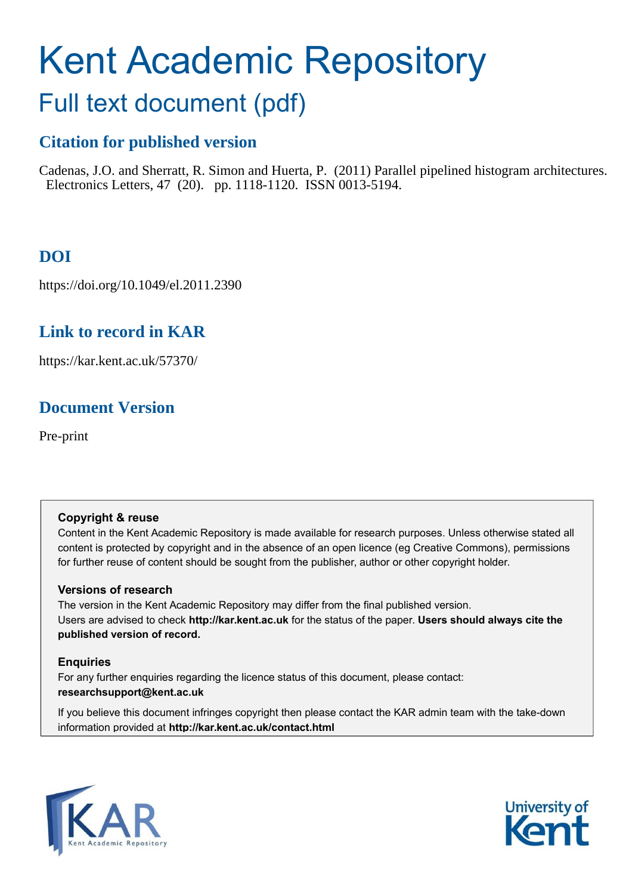# Kent Academic Repository

## Full text document (pdf)

## **Citation for published version**

Cadenas, J.O. and Sherratt, R. Simon and Huerta, P. (2011) Parallel pipelined histogram architectures. Electronics Letters, 47 (20). pp. 1118-1120. ISSN 0013-5194.

## **DOI**

https://doi.org/10.1049/el.2011.2390

### **Link to record in KAR**

https://kar.kent.ac.uk/57370/

## **Document Version**

Pre-print

#### **Copyright & reuse**

Content in the Kent Academic Repository is made available for research purposes. Unless otherwise stated all content is protected by copyright and in the absence of an open licence (eg Creative Commons), permissions for further reuse of content should be sought from the publisher, author or other copyright holder.

#### **Versions of research**

The version in the Kent Academic Repository may differ from the final published version. Users are advised to check **http://kar.kent.ac.uk** for the status of the paper. **Users should always cite the published version of record.**

#### **Enquiries**

For any further enquiries regarding the licence status of this document, please contact: **researchsupport@kent.ac.uk**

If you believe this document infringes copyright then please contact the KAR admin team with the take-down information provided at **http://kar.kent.ac.uk/contact.html**



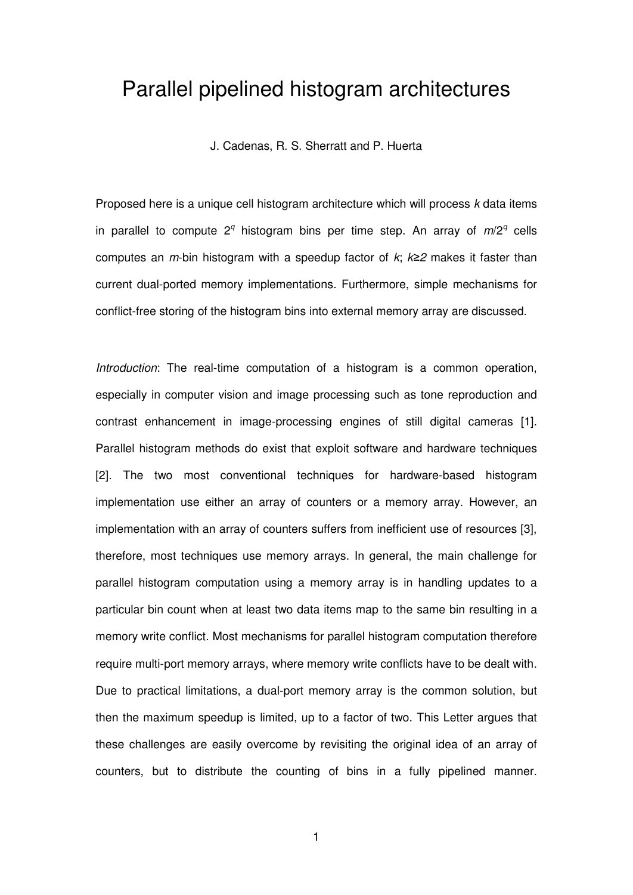## Parallel pipelined histogram architectures

J. Cadenas, R. S. Sherratt and P. Huerta

Proposed here is a unique cell histogram architecture which will process *k* data items in parallel to compute 2*<sup>q</sup>* histogram bins per time step. An array of *m*/2*<sup>q</sup>* cells computes an *m*-bin histogram with a speedup factor of *k*; *k≥2* makes it faster than current dual-ported memory implementations. Furthermore, simple mechanisms for conflict-free storing of the histogram bins into external memory array are discussed.

*Introduction*: The real-time computation of a histogram is a common operation, especially in computer vision and image processing such as tone reproduction and contrast enhancement in image-processing engines of still digital cameras [1]. Parallel histogram methods do exist that exploit software and hardware techniques [2]. The two most conventional techniques for hardware-based histogram implementation use either an array of counters or a memory array. However, an implementation with an array of counters suffers from inefficient use of resources [3], therefore, most techniques use memory arrays. In general, the main challenge for parallel histogram computation using a memory array is in handling updates to a particular bin count when at least two data items map to the same bin resulting in a memory write conflict. Most mechanisms for parallel histogram computation therefore require multi-port memory arrays, where memory write conflicts have to be dealt with. Due to practical limitations, a dual-port memory array is the common solution, but then the maximum speedup is limited, up to a factor of two. This Letter argues that these challenges are easily overcome by revisiting the original idea of an array of counters, but to distribute the counting of bins in a fully pipelined manner.

1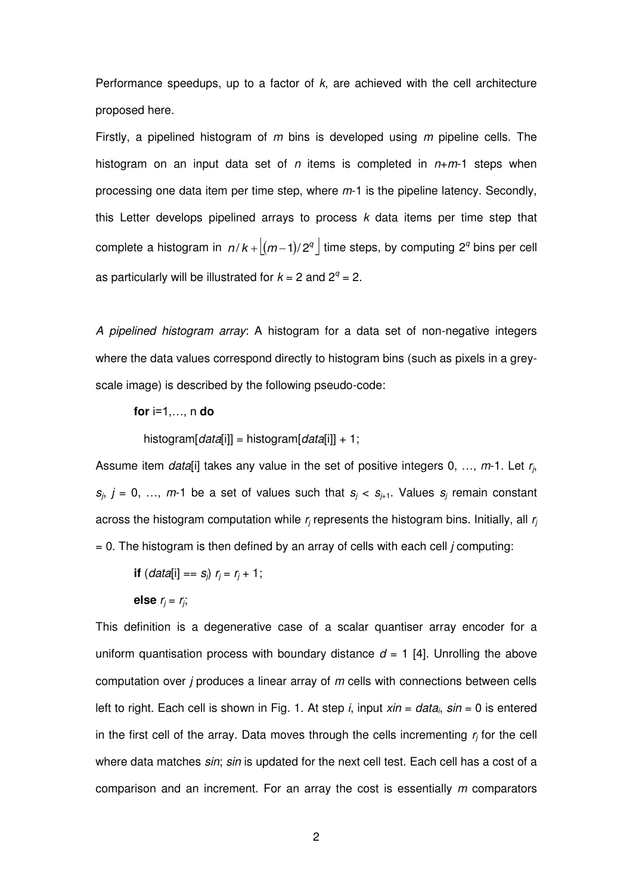Performance speedups, up to a factor of *k*, are achieved with the cell architecture proposed here.

Firstly, a pipelined histogram of *m* bins is developed using *m* pipeline cells. The histogram on an input data set of *n* items is completed in *n*+*m*-1 steps when processing one data item per time step, where *m*-1 is the pipeline latency. Secondly, this Letter develops pipelined arrays to process *k* data items per time step that complete a histogram in  $n/k + [(m-1)/2^q]$  time steps, by computing 2<sup>*q*</sup> bins per cell as particularly will be illustrated for  $k = 2$  and  $2^q = 2$ .

*A pipelined histogram array*: A histogram for a data set of non-negative integers where the data values correspond directly to histogram bins (such as pixels in a greyscale image) is described by the following pseudo-code:

#### **for** i=1,…, n **do**

histogram[*data*[i]] = histogram[*data*[i]] + 1;

Assume item *data*[i] takes any value in the set of positive integers 0, …, *m*-1. Let *r<sup>j</sup>* ,  $s_j$ ,  $j = 0, \ldots, m$ -1 be a set of values such that  $s_j < s_{j+1}$ . Values  $s_j$  remain constant across the histogram computation while  $r_j$  represents the histogram bins. Initially, all  $r_j$ = 0. The histogram is then defined by an array of cells with each cell *j* computing:

**if** 
$$
(data[i] == s_j) r_j = r_j + 1;
$$

else 
$$
r_j = r_j
$$
;

This definition is a degenerative case of a scalar quantiser array encoder for a uniform quantisation process with boundary distance  $d = 1$  [4]. Unrolling the above computation over *j* produces a linear array of *m* cells with connections between cells left to right. Each cell is shown in Fig. 1. At step *i*, input *xin* = *data<sup>i</sup>* , *sin* = 0 is entered in the first cell of the array. Data moves through the cells incrementing *r<sup>j</sup>* for the cell where data matches *sin*; *sin* is updated for the next cell test. Each cell has a cost of a comparison and an increment. For an array the cost is essentially *m* comparators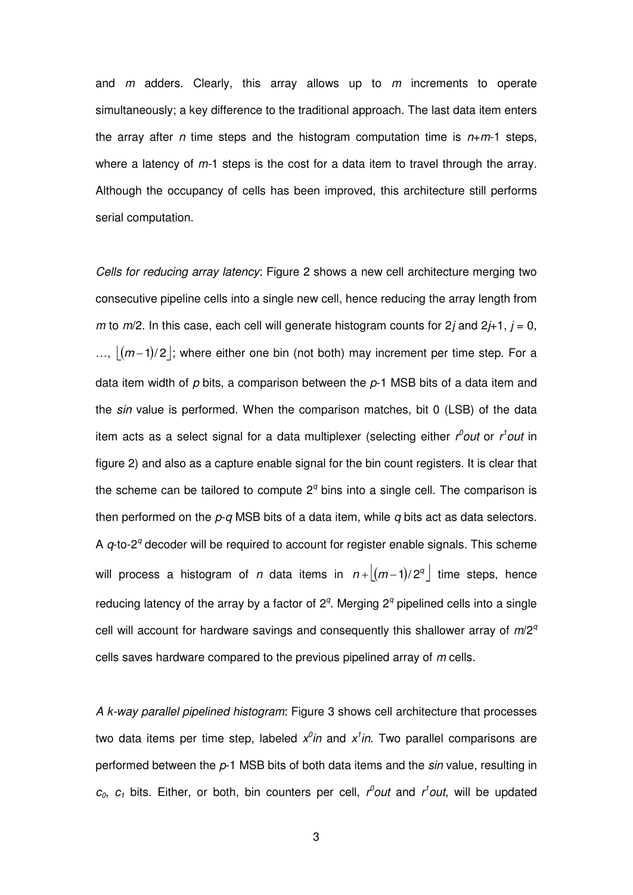and *m* adders. Clearly, this array allows up to *m* increments to operate simultaneously; a key difference to the traditional approach. The last data item enters the array after *n* time steps and the histogram computation time is *n*+*m*-1 steps, where a latency of *m-*1 steps is the cost for a data item to travel through the array. Although the occupancy of cells has been improved, this architecture still performs serial computation.

*Cells for reducing array latency*: Figure 2 shows a new cell architecture merging two consecutive pipeline cells into a single new cell, hence reducing the array length from *m* to *m*/2. In this case, each cell will generate histogram counts for 2*j* and 2*j*+1, *j* = 0, ...,  $|(m-1)/2|$ ; where either one bin (not both) may increment per time step. For a data item width of *p* bits, a comparison between the *p*-1 MSB bits of a data item and the *sin* value is performed. When the comparison matches, bit 0 (LSB) of the data item acts as a select signal for a data multiplexer (selecting either *r<sup>0</sup>out* or *r<sup>1</sup>out* in figure 2) and also as a capture enable signal for the bin count registers. It is clear that the scheme can be tailored to compute  $2<sup>q</sup>$  bins into a single cell. The comparison is then performed on the *p*-*q* MSB bits of a data item, while *q* bits act as data selectors. A *q*-to-2<sup>*q*</sup> decoder will be required to account for register enable signals. This scheme will process a histogram of *n* data items in  $n + \lfloor (m-1)/2^q \rfloor$  time steps, hence reducing latency of the array by a factor of  $2<sup>q</sup>$ . Merging  $2<sup>q</sup>$  pipelined cells into a single cell will account for hardware savings and consequently this shallower array of *m*/2*<sup>q</sup>* cells saves hardware compared to the previous pipelined array of *m* cells.

*A k-way parallel pipelined histogram*: Figure 3 shows cell architecture that processes two data items per time step, labeled  $x^0$ *in* and  $x^1$ *in*. Two parallel comparisons are performed between the *p*-1 MSB bits of both data items and the *sin* value, resulting in  $c_0$ ,  $c_1$  bits. Either, or both, bin counters per cell,  $r^0$ out and  $r^1$ out, will be updated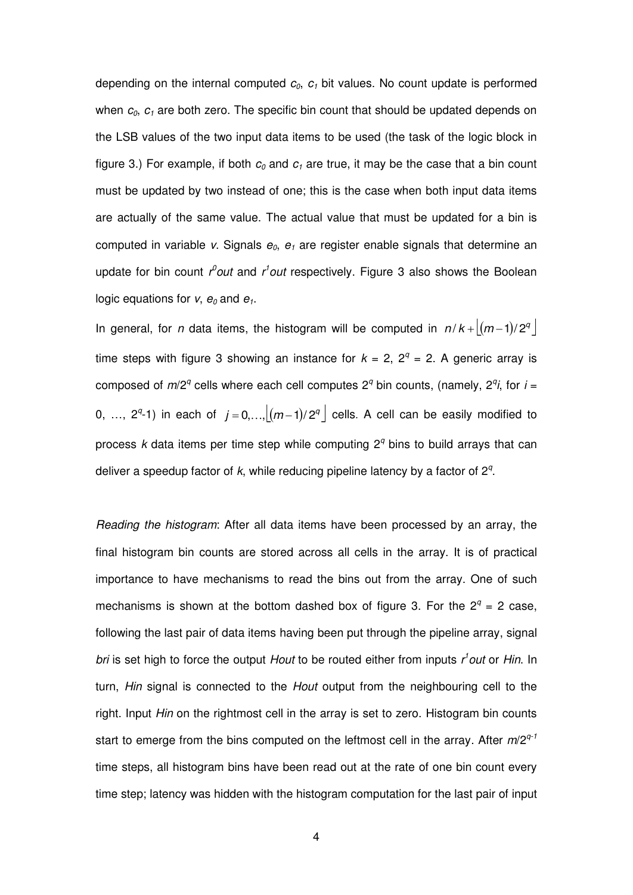depending on the internal computed *c0*, *c1* bit values. No count update is performed when  $c_0$ ,  $c_1$  are both zero. The specific bin count that should be updated depends on the LSB values of the two input data items to be used (the task of the logic block in figure 3.) For example, if both  $c_0$  and  $c_1$  are true, it may be the case that a bin count must be updated by two instead of one; this is the case when both input data items are actually of the same value. The actual value that must be updated for a bin is computed in variable *v*. Signals *e0*, *e1* are register enable signals that determine an update for bin count *r<sup>0</sup>out* and *r<sup>1</sup>out* respectively. Figure 3 also shows the Boolean logic equations for  $v$ ,  $e_0$  and  $e_1$ .

In general, for *n* data items, the histogram will be computed in  $n/k + \lfloor (m-1)/2^q \rfloor$ time steps with figure 3 showing an instance for  $k = 2$ ,  $2^q = 2$ . A generic array is composed of  $m/2^q$  cells where each cell computes  $2^q$  bin counts, (namely,  $2^q$ *i*, for *i* = 0, ...,  $2^q$ -1) in each of  $j = 0,..., \lfloor (m-1)/2^q \rfloor$  cells. A cell can be easily modified to process *k* data items per time step while computing 2<sup>*q*</sup> bins to build arrays that can deliver a speedup factor of *k*, while reducing pipeline latency by a factor of 2*<sup>q</sup>* .

*Reading the histogram*: After all data items have been processed by an array, the final histogram bin counts are stored across all cells in the array. It is of practical importance to have mechanisms to read the bins out from the array. One of such mechanisms is shown at the bottom dashed box of figure 3. For the  $2^q = 2$  case, following the last pair of data items having been put through the pipeline array, signal *bri* is set high to force the output *Hout* to be routed either from inputs *r 1 out* or *Hin*. In turn, *Hin* signal is connected to the *Hout* output from the neighbouring cell to the right. Input *Hin* on the rightmost cell in the array is set to zero. Histogram bin counts start to emerge from the bins computed on the leftmost cell in the array. After *m*/2*q-1* time steps, all histogram bins have been read out at the rate of one bin count every time step; latency was hidden with the histogram computation for the last pair of input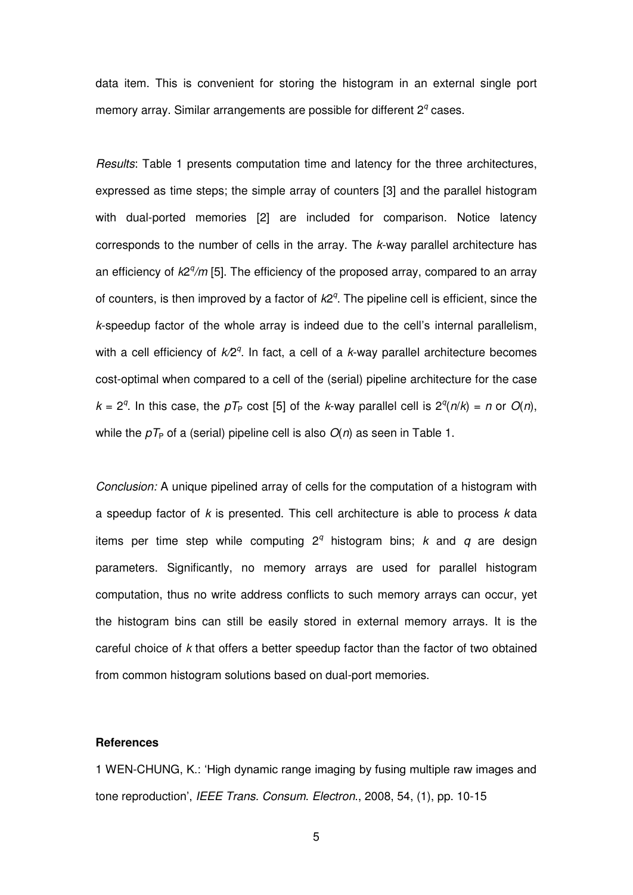data item. This is convenient for storing the histogram in an external single port memory array. Similar arrangements are possible for different 2<sup>*q*</sup> cases.

*Results*: Table 1 presents computation time and latency for the three architectures, expressed as time steps; the simple array of counters [3] and the parallel histogram with dual-ported memories [2] are included for comparison. Notice latency corresponds to the number of cells in the array. The *k*-way parallel architecture has an efficiency of  $k2^q/m$  [5]. The efficiency of the proposed array, compared to an array of counters, is then improved by a factor of  $k2<sup>q</sup>$ . The pipeline cell is efficient, since the *k*-speedup factor of the whole array is indeed due to the cell's internal parallelism, with a cell efficiency of  $k/2^q$ . In fact, a cell of a k-way parallel architecture becomes cost-optimal when compared to a cell of the (serial) pipeline architecture for the case  $k = 2<sup>q</sup>$ . In this case, the  $pT<sub>P</sub>$  cost [5] of the *k*-way parallel cell is  $2<sup>q</sup>(n/k) = n$  or  $O(n)$ , while the  $pT<sub>P</sub>$  of a (serial) pipeline cell is also  $O(n)$  as seen in Table 1.

*Conclusion:* A unique pipelined array of cells for the computation of a histogram with a speedup factor of *k* is presented. This cell architecture is able to process *k* data items per time step while computing  $2<sup>q</sup>$  histogram bins; *k* and *q* are design parameters. Significantly, no memory arrays are used for parallel histogram computation, thus no write address conflicts to such memory arrays can occur, yet the histogram bins can still be easily stored in external memory arrays. It is the careful choice of *k* that offers a better speedup factor than the factor of two obtained from common histogram solutions based on dual-port memories.

#### **References**

1 WEN-CHUNG, K.: 'High dynamic range imaging by fusing multiple raw images and tone reproduction', *IEEE Trans. Consum. Electron*., 2008, 54, (1), pp. 10-15

5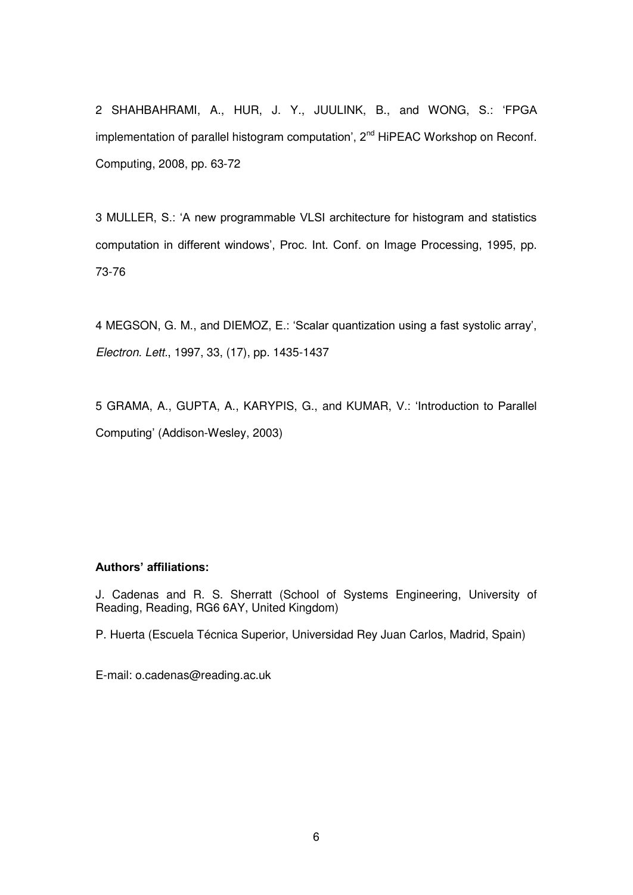2 SHAHBAHRAMI, A., HUR, J. Y., JUULINK, B., and WONG, S.: 'FPGA implementation of parallel histogram computation',  $2<sup>nd</sup>$  HiPEAC Workshop on Reconf. Computing, 2008, pp. 63-72

3 MULLER, S.: 'A new programmable VLSI architecture for histogram and statistics computation in different windows', Proc. Int. Conf. on Image Processing, 1995, pp. 73-76

4 MEGSON, G. M., and DIEMOZ, E.: 'Scalar quantization using a fast systolic array', *Electron. Lett.*, 1997, 33, (17), pp. 1435-1437

5 GRAMA, A., GUPTA, A., KARYPIS, G., and KUMAR, V.: 'Introduction to Parallel Computing' (Addison-Wesley, 2003)

#### **Authors' affiliations:**

J. Cadenas and R. S. Sherratt (School of Systems Engineering, University of Reading, Reading, RG6 6AY, United Kingdom)

P. Huerta (Escuela Técnica Superior, Universidad Rey Juan Carlos, Madrid, Spain)

E-mail: o.cadenas@reading.ac.uk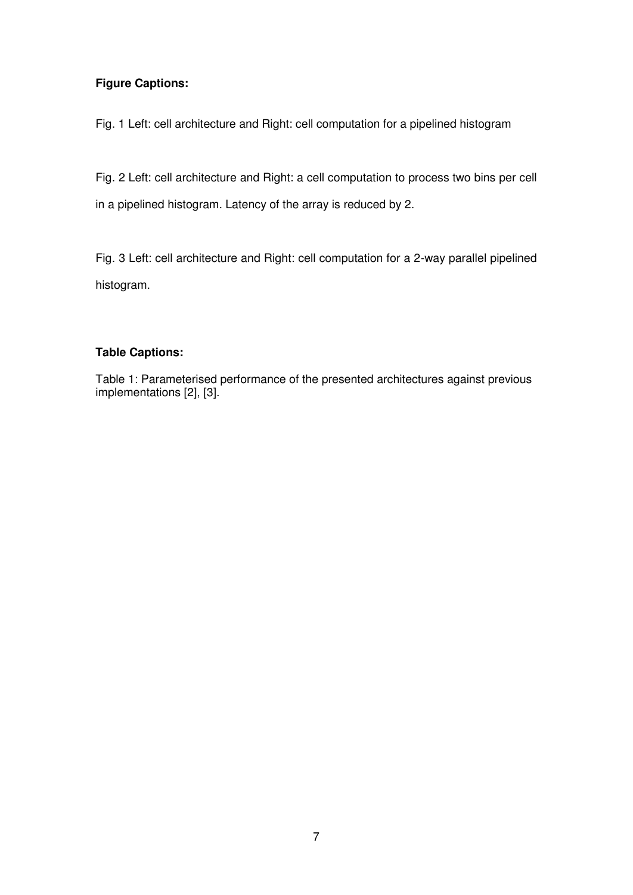#### **Figure Captions:**

Fig. 1 Left: cell architecture and Right: cell computation for a pipelined histogram

Fig. 2 Left: cell architecture and Right: a cell computation to process two bins per cell in a pipelined histogram. Latency of the array is reduced by 2.

Fig. 3 Left: cell architecture and Right: cell computation for a 2-way parallel pipelined histogram.

#### **Table Captions:**

Table 1: Parameterised performance of the presented architectures against previous implementations [2], [3].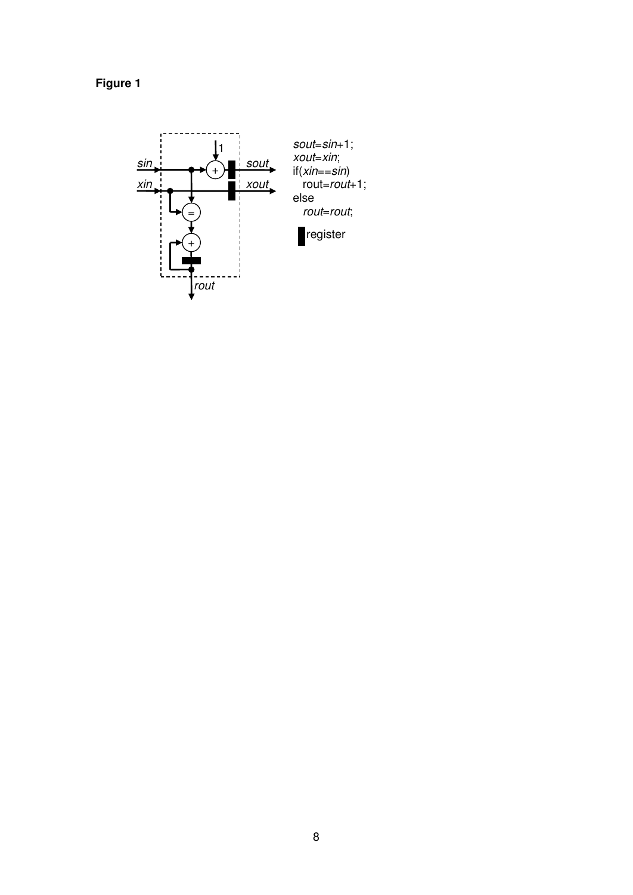

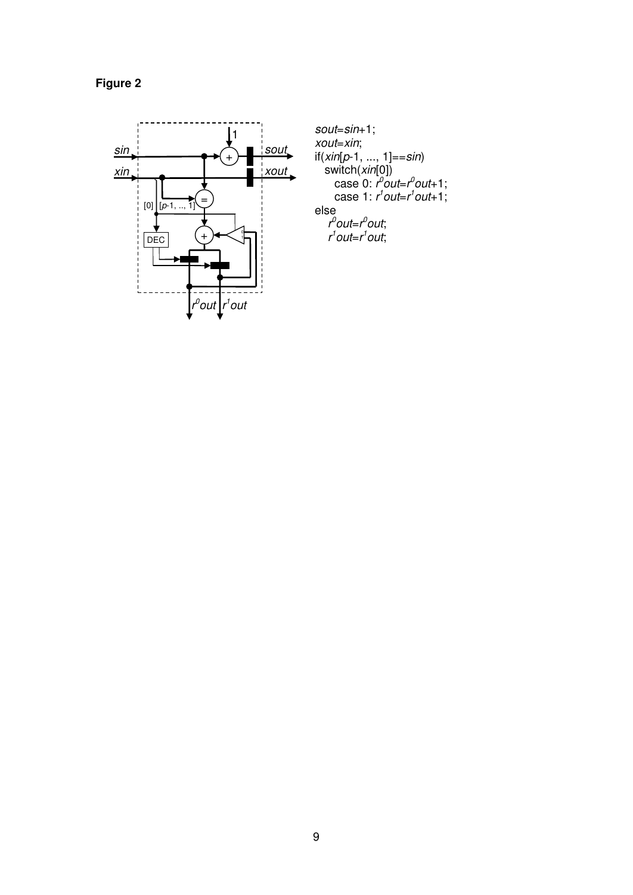**Figure 2** 



*sout*=*sin*+1; *xout*=*xin*; if(*xin*[*p*-1, ..., 1]==*sin*) switch(*xin*[0]) case 0: *r 0 out*=*r 0 out*+1; case 1: *r 1 out*=*r 1 out*+1; else *r 0 out*=*r 0 out*; *r 1 out*=*r 1 out*;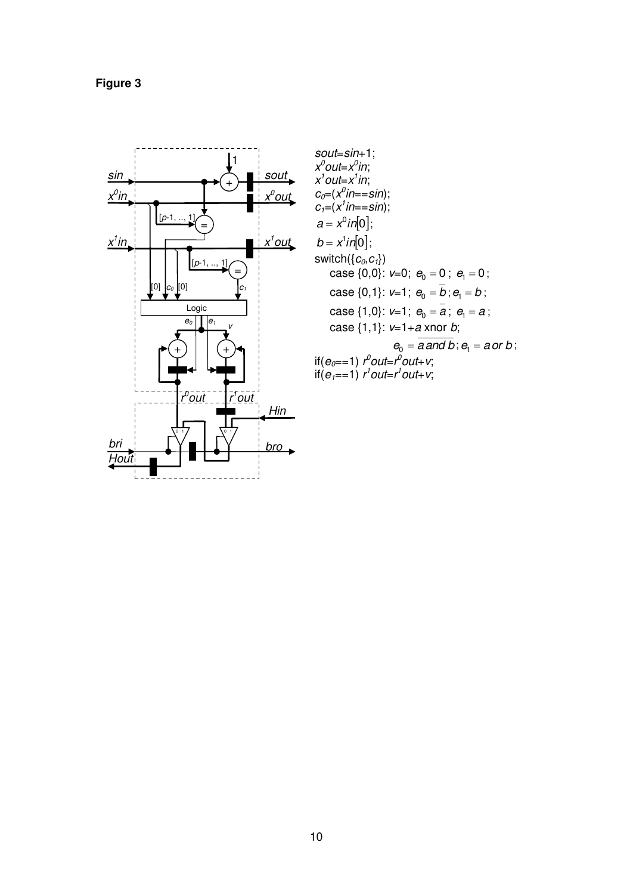

 $sout=sin+1;$ sout=sn+1,<br>  $x^0$ out= $x^0$ in;<br>  $x^1$ out= $x^1$ in;<br>  $c_0=(x^0$ in==sin);<br>  $c_1=(x^1$ in==sin);<br>  $a = x^0$ in[0];  $b = x^1 in [0];$ switch( $\{c_0, c_1\}$ ) case  $\{0,0\}$ :  $v=0$ ;  $e_0 = 0$ ;  $e_1 = 0$ ; case {0,1}:  $v=1$ ;  $e_0 = \overline{b}$ ;  $e_1 = b$ ; case {1,0}: v=1;  $e_0 = a$ ;  $e_1 = a$ ; case  $\{1,1\}$ : v=1+a xnor b;  $e_0 = \overline{a \text{ and } b}$ ;  $e_1 = \text{a or } b$ ; if(e<sub>o</sub>==1)  $t^0$ out= $t^0$ out+v;<br>if(e<sub>1</sub>==1)  $t^1$ out= $t^1$ out+v;